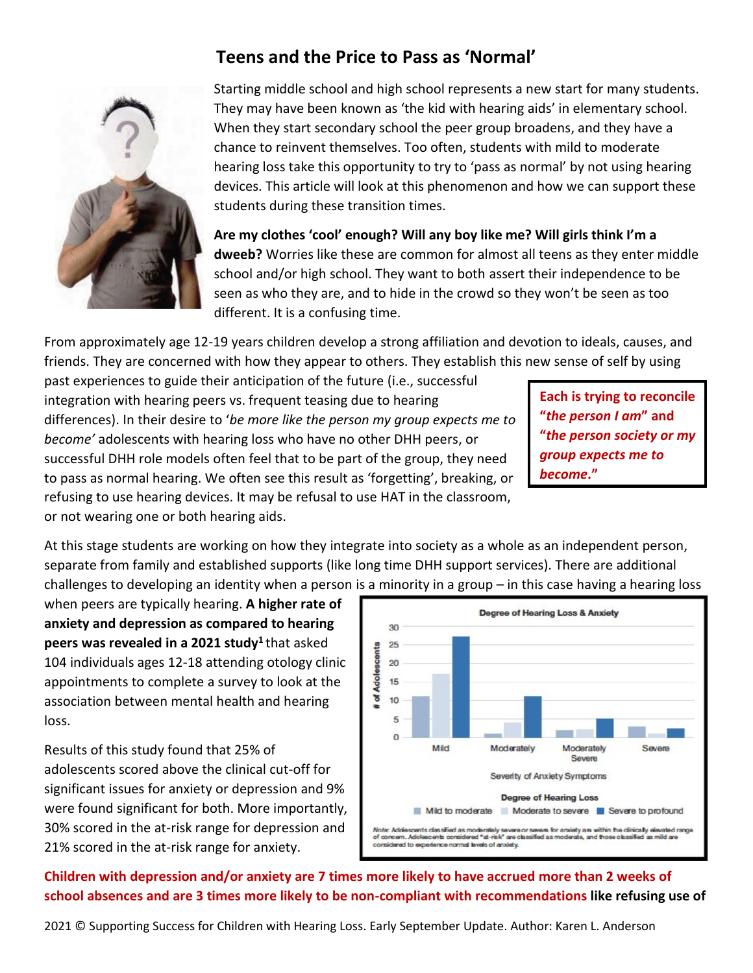## **Teens and the Price to Pass as 'Normal'**



Starting middle school and high school represents a new start for many students. They may have been known as 'the kid with hearing aids' in elementary school. When they start secondary school the peer group broadens, and they have a chance to reinvent themselves. Too often, students with mild to moderate hearing loss take this opportunity to try to 'pass as normal' by not using hearing devices. This article will look at this phenomenon and how we can support these students during these transition times.

**Are my clothes 'cool' enough? Will any boy like me? Will girls think I'm a dweeb?** Worries like these are common for almost all teens as they enter middle school and/or high school. They want to both assert their independence to be seen as who they are, and to hide in the crowd so they won't be seen as too different. It is a confusing time.

From approximately age 12-19 years children develop a strong affiliation and devotion to ideals, causes, and friends. They are concerned with how they appear to others. They establish this new sense of self by using

past experiences to guide their anticipation of the future (i.e., successful integration with hearing peers vs. frequent teasing due to hearing differences). In their desire to '*be more like the person my group expects me to become'* adolescents with hearing loss who have no other DHH peers, or successful DHH role models often feel that to be part of the group, they need to pass as normal hearing. We often see this result as 'forgetting', breaking, or refusing to use hearing devices. It may be refusal to use HAT in the classroom, or not wearing one or both hearing aids.

**Each is trying to reconcile "***the person I am***" and "***the person society or my group expects me to become***."**

At this stage students are working on how they integrate into society as a whole as an independent person, separate from family and established supports (like long time DHH support services). There are additional challenges to developing an identity when a person is a minority in a group – in this case having a hearing loss

when peers are typically hearing. **A higher rate of anxiety and depression as compared to hearing peers was revealed in a 2021 study<sup>1</sup>** that asked 104 individuals ages 12-18 attending otology clinic appointments to complete a survey to look at the association between mental health and hearing loss.

Results of this study found that 25% of adolescents scored above the clinical cut-off for significant issues for anxiety or depression and 9% were found significant for both. More importantly, 30% scored in the at-risk range for depression and 21% scored in the at-risk range for anxiety.



**Children with depression and/or anxiety are 7 times more likely to have accrued more than 2 weeks of school absences and are 3 times more likely to be non-compliant with recommendations like refusing use of** 

2021 © Supporting Success for Children with Hearing Loss. Early September Update. Author: Karen L. Anderson